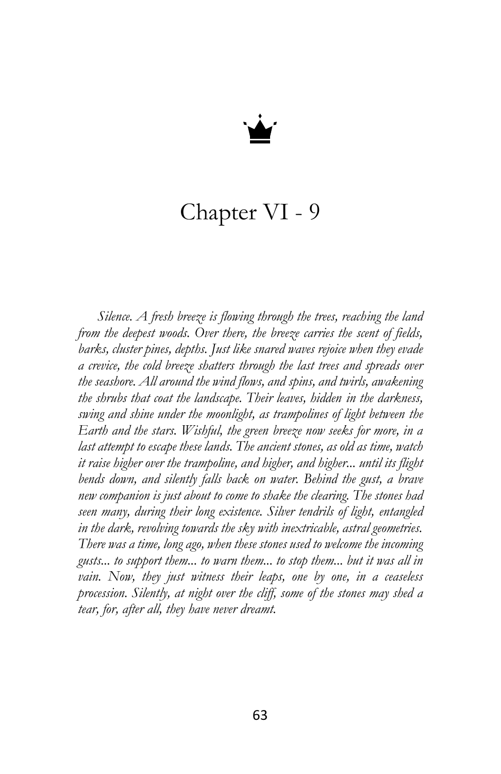

## Chapter VI - 9

*Silence. A fresh breeze is flowing through the trees, reaching the land from the deepest woods. Over there, the breeze carries the scent of fields, barks, cluster pines, depths. Just like snared waves rejoice when they evade a crevice, the cold breeze shatters through the last trees and spreads over the seashore. All around the wind flows, and spins, and twirls, awakening the shrubs that coat the landscape. Their leaves, hidden in the darkness, swing and shine under the moonlight, as trampolines of light between the Earth and the stars. Wishful, the green breeze now seeks for more, in a last attempt to escape these lands. The ancient stones, as old as time, watch it raise higher over the trampoline, and higher, and higher... until its flight bends down, and silently falls back on water. Behind the gust, a brave new companion is just about to come to shake the clearing. The stones had seen many, during their long existence. Silver tendrils of light, entangled in the dark, revolving towards the sky with inextricable, astral geometries. There was a time, long ago, when these stones used to welcome the incoming gusts... to support them... to warn them... to stop them... but it was all in vain. Now, they just witness their leaps, one by one, in a ceaseless procession. Silently, at night over the cliff, some of the stones may shed a tear, for, after all, they have never dreamt.*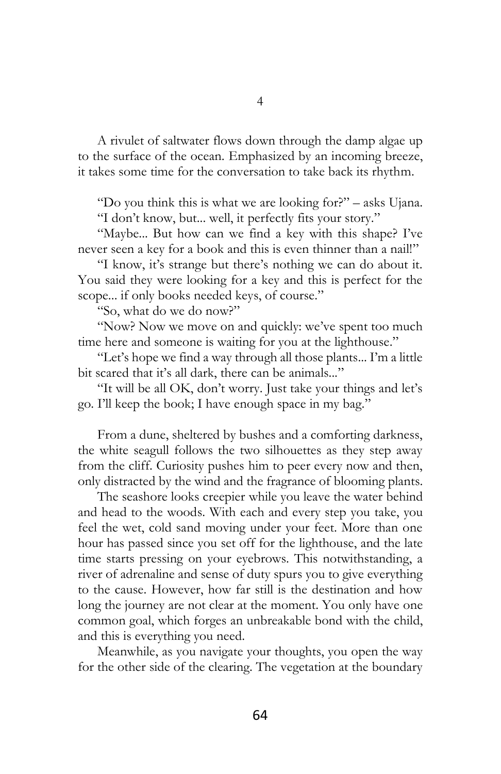A rivulet of saltwater flows down through the damp algae up to the surface of the ocean. Emphasized by an incoming breeze, it takes some time for the conversation to take back its rhythm.

"Do you think this is what we are looking for?" – asks Ujana. "I don't know, but... well, it perfectly fits your story."

"Maybe... But how can we find a key with this shape? I've never seen a key for a book and this is even thinner than a nail!"

"I know, it's strange but there's nothing we can do about it. You said they were looking for a key and this is perfect for the scope... if only books needed keys, of course."

"So, what do we do now?"

"Now? Now we move on and quickly: we've spent too much time here and someone is waiting for you at the lighthouse."

"Let's hope we find a way through all those plants... I'm a little bit scared that it's all dark, there can be animals..."

"It will be all OK, don't worry. Just take your things and let's go. I'll keep the book; I have enough space in my bag."

From a dune, sheltered by bushes and a comforting darkness, the white seagull follows the two silhouettes as they step away from the cliff. Curiosity pushes him to peer every now and then, only distracted by the wind and the fragrance of blooming plants.

The seashore looks creepier while you leave the water behind and head to the woods. With each and every step you take, you feel the wet, cold sand moving under your feet. More than one hour has passed since you set off for the lighthouse, and the late time starts pressing on your eyebrows. This notwithstanding, a river of adrenaline and sense of duty spurs you to give everything to the cause. However, how far still is the destination and how long the journey are not clear at the moment. You only have one common goal, which forges an unbreakable bond with the child, and this is everything you need.

Meanwhile, as you navigate your thoughts, you open the way for the other side of the clearing. The vegetation at the boundary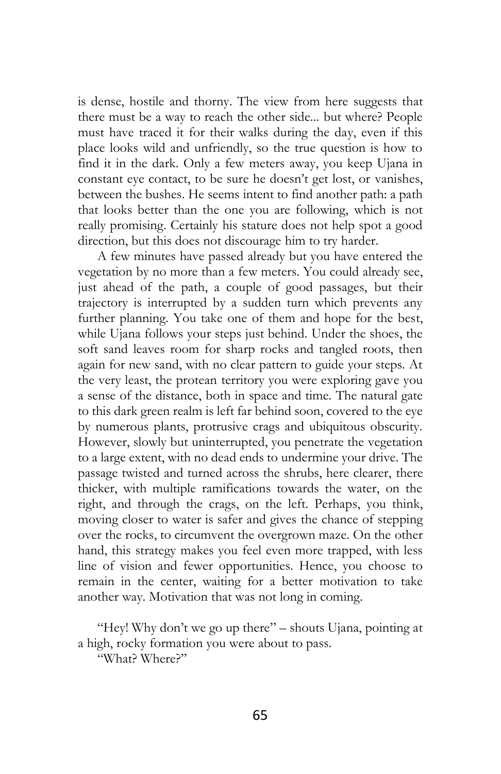is dense, hostile and thorny. The view from here suggests that there must be a way to reach the other side... but where? People must have traced it for their walks during the day, even if this place looks wild and unfriendly, so the true question is how to find it in the dark. Only a few meters away, you keep Ujana in constant eye contact, to be sure he doesn't get lost, or vanishes, between the bushes. He seems intent to find another path: a path that looks better than the one you are following, which is not really promising. Certainly his stature does not help spot a good direction, but this does not discourage him to try harder.

A few minutes have passed already but you have entered the vegetation by no more than a few meters. You could already see, just ahead of the path, a couple of good passages, but their trajectory is interrupted by a sudden turn which prevents any further planning. You take one of them and hope for the best, while Ujana follows your steps just behind. Under the shoes, the soft sand leaves room for sharp rocks and tangled roots, then again for new sand, with no clear pattern to guide your steps. At the very least, the protean territory you were exploring gave you a sense of the distance, both in space and time. The natural gate to this dark green realm is left far behind soon, covered to the eye by numerous plants, protrusive crags and ubiquitous obscurity. However, slowly but uninterrupted, you penetrate the vegetation to a large extent, with no dead ends to undermine your drive. The passage twisted and turned across the shrubs, here clearer, there thicker, with multiple ramifications towards the water, on the right, and through the crags, on the left. Perhaps, you think, moving closer to water is safer and gives the chance of stepping over the rocks, to circumvent the overgrown maze. On the other hand, this strategy makes you feel even more trapped, with less line of vision and fewer opportunities. Hence, you choose to remain in the center, waiting for a better motivation to take another way. Motivation that was not long in coming.

"Hey! Why don't we go up there" – shouts Ujana, pointing at a high, rocky formation you were about to pass.

"What? Where?"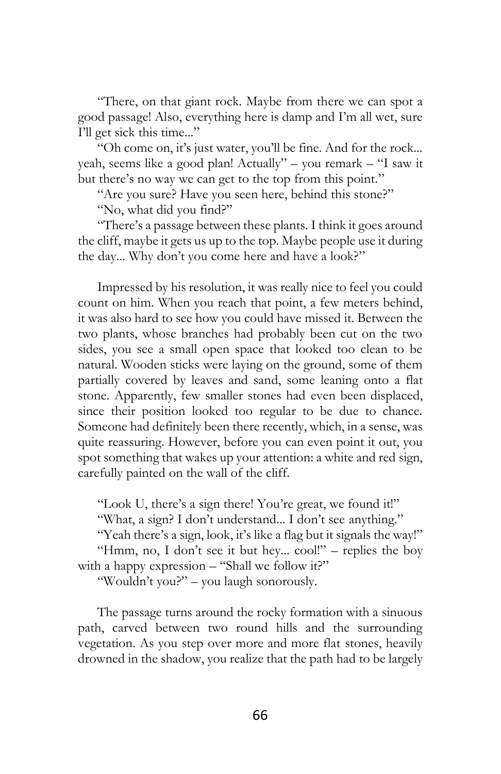"There, on that giant rock. Maybe from there we can spot a good passage! Also, everything here is damp and I'm all wet, sure I'll get sick this time..."

"Oh come on, it's just water, you'll be fine. And for the rock... yeah, seems like a good plan! Actually" – you remark – "I saw it but there's no way we can get to the top from this point."

"Are you sure? Have you seen here, behind this stone?"

"No, what did you find?"

"There's a passage between these plants. I think it goes around the cliff, maybe it gets us up to the top. Maybe people use it during the day... Why don't you come here and have a look?"

Impressed by his resolution, it was really nice to feel you could count on him. When you reach that point, a few meters behind, it was also hard to see how you could have missed it. Between the two plants, whose branches had probably been cut on the two sides, you see a small open space that looked too clean to be natural. Wooden sticks were laying on the ground, some of them partially covered by leaves and sand, some leaning onto a flat stone. Apparently, few smaller stones had even been displaced, since their position looked too regular to be due to chance. Someone had definitely been there recently, which, in a sense, was quite reassuring. However, before you can even point it out, you spot something that wakes up your attention: a white and red sign, carefully painted on the wall of the cliff.

"Look U, there's a sign there! You're great, we found it!" "What, a sign? I don't understand... I don't see anything." "Yeah there's a sign, look, it's like a flag but it signals the way!"

"Hmm, no, I don't see it but hey...  $\text{cool}$ !" – replies the boy with a happy expression – "Shall we follow it?"

"Wouldn't you?" – you laugh sonorously.

The passage turns around the rocky formation with a sinuous path, carved between two round hills and the surrounding vegetation. As you step over more and more flat stones, heavily drowned in the shadow, you realize that the path had to be largely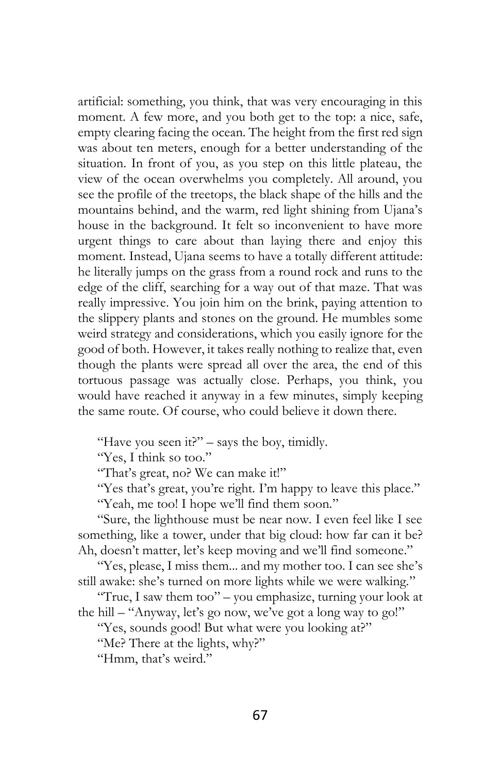artificial: something, you think, that was very encouraging in this moment. A few more, and you both get to the top: a nice, safe, empty clearing facing the ocean. The height from the first red sign was about ten meters, enough for a better understanding of the situation. In front of you, as you step on this little plateau, the view of the ocean overwhelms you completely. All around, you see the profile of the treetops, the black shape of the hills and the mountains behind, and the warm, red light shining from Ujana's house in the background. It felt so inconvenient to have more urgent things to care about than laying there and enjoy this moment. Instead, Ujana seems to have a totally different attitude: he literally jumps on the grass from a round rock and runs to the edge of the cliff, searching for a way out of that maze. That was really impressive. You join him on the brink, paying attention to the slippery plants and stones on the ground. He mumbles some weird strategy and considerations, which you easily ignore for the good of both. However, it takes really nothing to realize that, even though the plants were spread all over the area, the end of this tortuous passage was actually close. Perhaps, you think, you would have reached it anyway in a few minutes, simply keeping the same route. Of course, who could believe it down there.

"Have you seen it?" – says the boy, timidly.

"Yes, I think so too."

"That's great, no? We can make it!"

"Yes that's great, you're right. I'm happy to leave this place." "Yeah, me too! I hope we'll find them soon."

"Sure, the lighthouse must be near now. I even feel like I see something, like a tower, under that big cloud: how far can it be? Ah, doesn't matter, let's keep moving and we'll find someone."

"Yes, please, I miss them... and my mother too. I can see she's still awake: she's turned on more lights while we were walking."

"True, I saw them too" – you emphasize, turning your look at the hill – "Anyway, let's go now, we've got a long way to go!"

"Yes, sounds good! But what were you looking at?"

"Me? There at the lights, why?"

"Hmm, that's weird."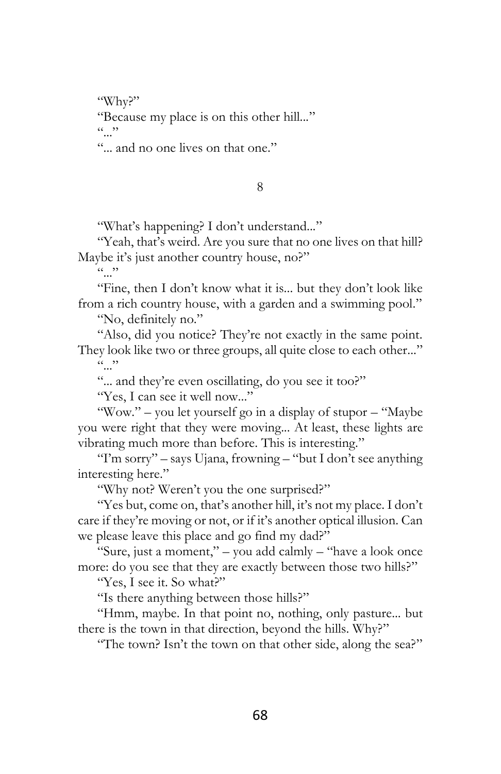"Why?"

"Because my place is on this other hill..."

 $($ ,  $)$ 

"... and no one lives on that one."

## 8

"What's happening? I don't understand..."

"Yeah, that's weird. Are you sure that no one lives on that hill? Maybe it's just another country house, no?"

... ..

"Fine, then I don't know what it is... but they don't look like from a rich country house, with a garden and a swimming pool."

"No, definitely no."

"Also, did you notice? They're not exactly in the same point. They look like two or three groups, all quite close to each other..."  $(c \rightarrow)$ 

"... and they're even oscillating, do you see it too?"

"Yes, I can see it well now..."

"Wow." – you let yourself go in a display of stupor – "Maybe you were right that they were moving... At least, these lights are vibrating much more than before. This is interesting."

"I'm sorry" – says Ujana, frowning – "but I don't see anything interesting here."

"Why not? Weren't you the one surprised?"

"Yes but, come on, that's another hill, it's not my place. I don't care if they're moving or not, or if it's another optical illusion. Can we please leave this place and go find my dad?"

"Sure, just a moment," – you add calmly – "have a look once more: do you see that they are exactly between those two hills?"

"Yes, I see it. So what?"

"Is there anything between those hills?"

"Hmm, maybe. In that point no, nothing, only pasture... but there is the town in that direction, beyond the hills. Why?"

"The town? Isn't the town on that other side, along the sea?"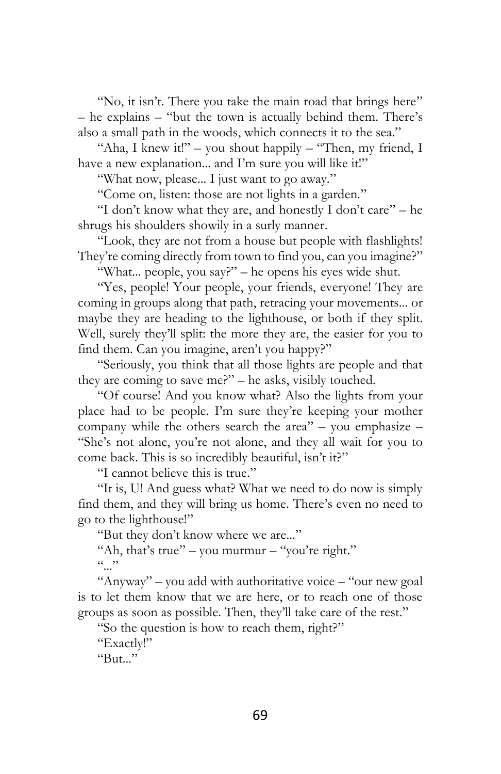"No, it isn't. There you take the main road that brings here" – he explains – "but the town is actually behind them. There's also a small path in the woods, which connects it to the sea."

"Aha, I knew it!" – you shout happily – "Then, my friend, I have a new explanation... and I'm sure you will like it!"

"What now, please... I just want to go away."

"Come on, listen: those are not lights in a garden."

"I don't know what they are, and honestly I don't care" – he shrugs his shoulders showily in a surly manner.

"Look, they are not from a house but people with flashlights! They're coming directly from town to find you, can you imagine?"

"What... people, you say?" – he opens his eyes wide shut.

"Yes, people! Your people, your friends, everyone! They are coming in groups along that path, retracing your movements... or maybe they are heading to the lighthouse, or both if they split. Well, surely they'll split: the more they are, the easier for you to find them. Can you imagine, aren't you happy?"

"Seriously, you think that all those lights are people and that they are coming to save me?" – he asks, visibly touched.

"Of course! And you know what? Also the lights from your place had to be people. I'm sure they're keeping your mother company while the others search the area" – you emphasize – "She's not alone, you're not alone, and they all wait for you to come back. This is so incredibly beautiful, isn't it?"

"I cannot believe this is true."

"It is, U! And guess what? What we need to do now is simply find them, and they will bring us home. There's even no need to go to the lighthouse!"

"But they don't know where we are..."

"Ah, that's true" – you murmur – "you're right."  $(0, 0)$ 

"Anyway" – you add with authoritative voice – "our new goal is to let them know that we are here, or to reach one of those groups as soon as possible. Then, they'll take care of the rest."

"So the question is how to reach them, right?"

"Exactly!"

 $R_{\rm 11}$ ..."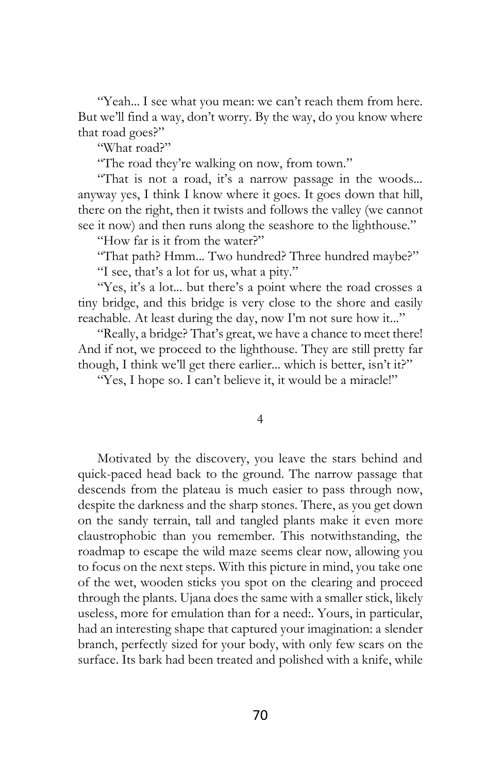"Yeah... I see what you mean: we can't reach them from here. But we'll find a way, don't worry. By the way, do you know where that road goes?"

"What road?"

"The road they're walking on now, from town."

"That is not a road, it's a narrow passage in the woods... anyway yes, I think I know where it goes. It goes down that hill, there on the right, then it twists and follows the valley (we cannot see it now) and then runs along the seashore to the lighthouse."

"How far is it from the water?"

"That path? Hmm... Two hundred? Three hundred maybe?" "I see, that's a lot for us, what a pity."

"Yes, it's a lot... but there's a point where the road crosses a tiny bridge, and this bridge is very close to the shore and easily reachable. At least during the day, now I'm not sure how it..."

"Really, a bridge? That's great, we have a chance to meet there! And if not, we proceed to the lighthouse. They are still pretty far though, I think we'll get there earlier... which is better, isn't it?"

"Yes, I hope so. I can't believe it, it would be a miracle!"

4

Motivated by the discovery, you leave the stars behind and quick-paced head back to the ground. The narrow passage that descends from the plateau is much easier to pass through now, despite the darkness and the sharp stones. There, as you get down on the sandy terrain, tall and tangled plants make it even more claustrophobic than you remember. This notwithstanding, the roadmap to escape the wild maze seems clear now, allowing you to focus on the next steps. With this picture in mind, you take one of the wet, wooden sticks you spot on the clearing and proceed through the plants. Ujana does the same with a smaller stick, likely useless, more for emulation than for a need:. Yours, in particular, had an interesting shape that captured your imagination: a slender branch, perfectly sized for your body, with only few scars on the surface. Its bark had been treated and polished with a knife, while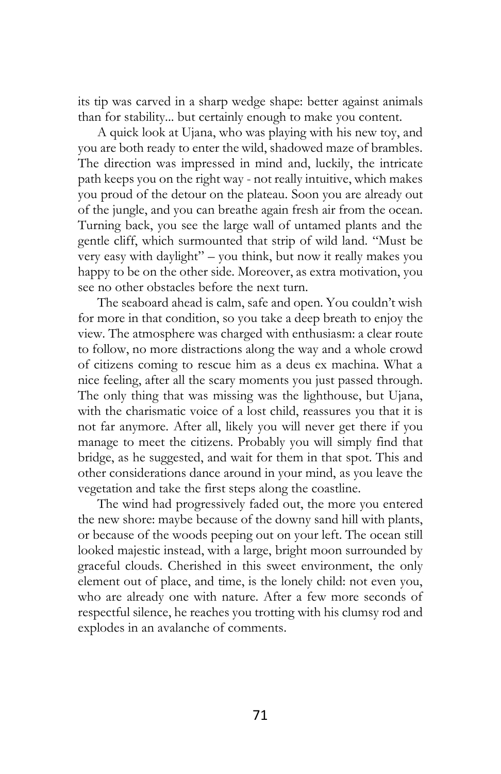its tip was carved in a sharp wedge shape: better against animals than for stability... but certainly enough to make you content.

A quick look at Ujana, who was playing with his new toy, and you are both ready to enter the wild, shadowed maze of brambles. The direction was impressed in mind and, luckily, the intricate path keeps you on the right way - not really intuitive, which makes you proud of the detour on the plateau. Soon you are already out of the jungle, and you can breathe again fresh air from the ocean. Turning back, you see the large wall of untamed plants and the gentle cliff, which surmounted that strip of wild land. "Must be very easy with daylight" – you think, but now it really makes you happy to be on the other side. Moreover, as extra motivation, you see no other obstacles before the next turn.

The seaboard ahead is calm, safe and open. You couldn't wish for more in that condition, so you take a deep breath to enjoy the view. The atmosphere was charged with enthusiasm: a clear route to follow, no more distractions along the way and a whole crowd of citizens coming to rescue him as a deus ex machina. What a nice feeling, after all the scary moments you just passed through. The only thing that was missing was the lighthouse, but Ujana, with the charismatic voice of a lost child, reassures you that it is not far anymore. After all, likely you will never get there if you manage to meet the citizens. Probably you will simply find that bridge, as he suggested, and wait for them in that spot. This and other considerations dance around in your mind, as you leave the vegetation and take the first steps along the coastline.

The wind had progressively faded out, the more you entered the new shore: maybe because of the downy sand hill with plants, or because of the woods peeping out on your left. The ocean still looked majestic instead, with a large, bright moon surrounded by graceful clouds. Cherished in this sweet environment, the only element out of place, and time, is the lonely child: not even you, who are already one with nature. After a few more seconds of respectful silence, he reaches you trotting with his clumsy rod and explodes in an avalanche of comments.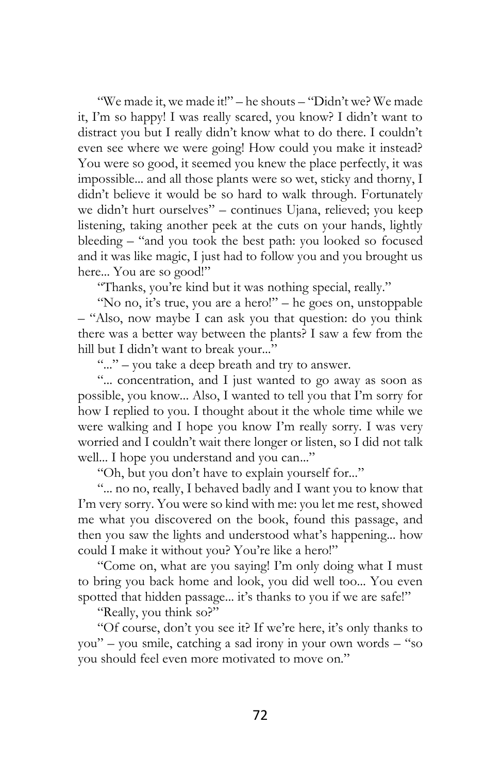"We made it, we made it!" – he shouts – "Didn't we? We made it, I'm so happy! I was really scared, you know? I didn't want to distract you but I really didn't know what to do there. I couldn't even see where we were going! How could you make it instead? You were so good, it seemed you knew the place perfectly, it was impossible... and all those plants were so wet, sticky and thorny, I didn't believe it would be so hard to walk through. Fortunately we didn't hurt ourselves" – continues Ujana, relieved; you keep listening, taking another peek at the cuts on your hands, lightly bleeding – "and you took the best path: you looked so focused and it was like magic, I just had to follow you and you brought us here... You are so good!"

"Thanks, you're kind but it was nothing special, really."

"No no, it's true, you are a hero!" – he goes on, unstoppable – "Also, now maybe I can ask you that question: do you think there was a better way between the plants? I saw a few from the hill but I didn't want to break your..."

"..." – you take a deep breath and try to answer.

"... concentration, and I just wanted to go away as soon as possible, you know... Also, I wanted to tell you that I'm sorry for how I replied to you. I thought about it the whole time while we were walking and I hope you know I'm really sorry. I was very worried and I couldn't wait there longer or listen, so I did not talk well... I hope you understand and you can..."

"Oh, but you don't have to explain yourself for..."

"... no no, really, I behaved badly and I want you to know that I'm very sorry. You were so kind with me: you let me rest, showed me what you discovered on the book, found this passage, and then you saw the lights and understood what's happening... how could I make it without you? You're like a hero!"

"Come on, what are you saying! I'm only doing what I must to bring you back home and look, you did well too... You even spotted that hidden passage... it's thanks to you if we are safe!"

"Really, you think so?"

"Of course, don't you see it? If we're here, it's only thanks to you" – you smile, catching a sad irony in your own words – "so you should feel even more motivated to move on."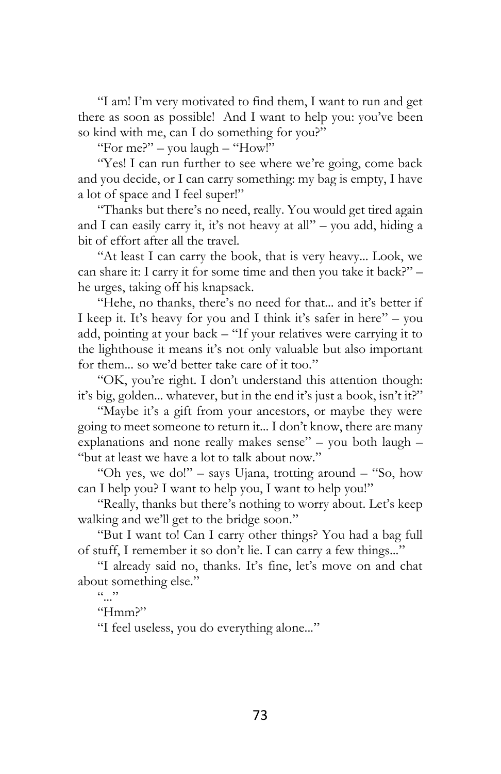"I am! I'm very motivated to find them, I want to run and get there as soon as possible! And I want to help you: you've been so kind with me, can I do something for you?"

"For me?" – you laugh – "How!"

"Yes! I can run further to see where we're going, come back and you decide, or I can carry something: my bag is empty, I have a lot of space and I feel super!"

"Thanks but there's no need, really. You would get tired again and I can easily carry it, it's not heavy at all" – you add, hiding a bit of effort after all the travel.

"At least I can carry the book, that is very heavy... Look, we can share it: I carry it for some time and then you take it back?" – he urges, taking off his knapsack.

"Hehe, no thanks, there's no need for that... and it's better if I keep it. It's heavy for you and I think it's safer in here" – you add, pointing at your back – "If your relatives were carrying it to the lighthouse it means it's not only valuable but also important for them... so we'd better take care of it too."

"OK, you're right. I don't understand this attention though: it's big, golden... whatever, but in the end it's just a book, isn't it?"

"Maybe it's a gift from your ancestors, or maybe they were going to meet someone to return it... I don't know, there are many explanations and none really makes sense" – you both laugh – "but at least we have a lot to talk about now."

"Oh yes, we do!" – says Ujana, trotting around – "So, how can I help you? I want to help you, I want to help you!"

"Really, thanks but there's nothing to worry about. Let's keep walking and we'll get to the bridge soon."

"But I want to! Can I carry other things? You had a bag full of stuff, I remember it so don't lie. I can carry a few things..."

"I already said no, thanks. It's fine, let's move on and chat about something else."

 $(0, 0)$ 

"Hmm?"

"I feel useless, you do everything alone..."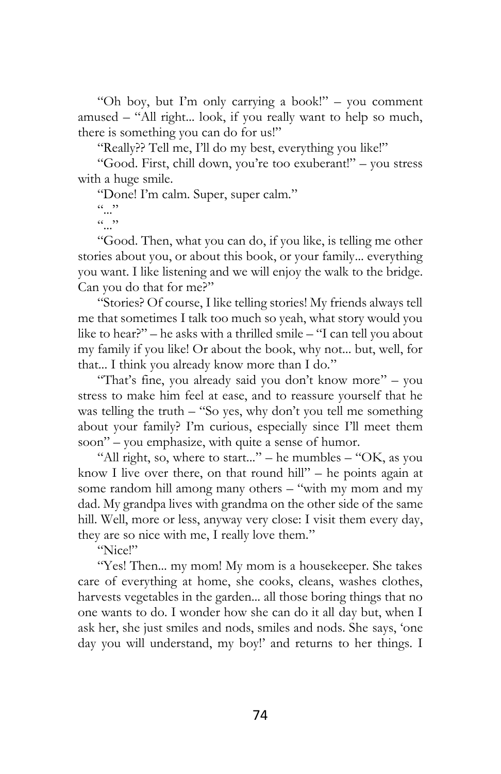"Oh boy, but I'm only carrying a book!" – you comment amused – "All right... look, if you really want to help so much, there is something you can do for us!"

"Really?? Tell me, I'll do my best, everything you like!"

"Good. First, chill down, you're too exuberant!" – you stress with a huge smile.

"Done! I'm calm. Super, super calm."

 $\ldots$ "

 $(0, 0)$ 

"Good. Then, what you can do, if you like, is telling me other stories about you, or about this book, or your family... everything you want. I like listening and we will enjoy the walk to the bridge. Can you do that for me?"

"Stories? Of course, I like telling stories! My friends always tell me that sometimes I talk too much so yeah, what story would you like to hear?" – he asks with a thrilled smile – "I can tell you about my family if you like! Or about the book, why not... but, well, for that... I think you already know more than I do."

"That's fine, you already said you don't know more" – you stress to make him feel at ease, and to reassure yourself that he was telling the truth – "So yes, why don't you tell me something about your family? I'm curious, especially since I'll meet them soon" – you emphasize, with quite a sense of humor.

"All right, so, where to start..." – he mumbles – "OK, as you know I live over there, on that round hill" – he points again at some random hill among many others – "with my mom and my dad. My grandpa lives with grandma on the other side of the same hill. Well, more or less, anyway very close: I visit them every day, they are so nice with me, I really love them."

"Nice!"

"Yes! Then... my mom! My mom is a housekeeper. She takes care of everything at home, she cooks, cleans, washes clothes, harvests vegetables in the garden... all those boring things that no one wants to do. I wonder how she can do it all day but, when I ask her, she just smiles and nods, smiles and nods. She says, 'one day you will understand, my boy!' and returns to her things. I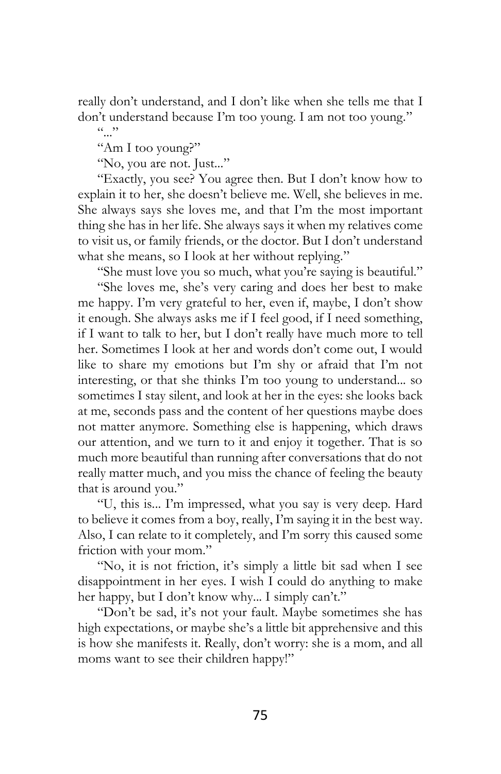really don't understand, and I don't like when she tells me that I don't understand because I'm too young. I am not too young."

 $($ ,  $)$ 

"Am I too young?"

"No, you are not. Just..."

"Exactly, you see? You agree then. But I don't know how to explain it to her, she doesn't believe me. Well, she believes in me. She always says she loves me, and that I'm the most important thing she has in her life. She always says it when my relatives come to visit us, or family friends, or the doctor. But I don't understand what she means, so I look at her without replying."

"She must love you so much, what you're saying is beautiful."

"She loves me, she's very caring and does her best to make me happy. I'm very grateful to her, even if, maybe, I don't show it enough. She always asks me if I feel good, if I need something, if I want to talk to her, but I don't really have much more to tell her. Sometimes I look at her and words don't come out, I would like to share my emotions but I'm shy or afraid that I'm not interesting, or that she thinks I'm too young to understand... so sometimes I stay silent, and look at her in the eyes: she looks back at me, seconds pass and the content of her questions maybe does not matter anymore. Something else is happening, which draws our attention, and we turn to it and enjoy it together. That is so much more beautiful than running after conversations that do not really matter much, and you miss the chance of feeling the beauty that is around you."

"U, this is... I'm impressed, what you say is very deep. Hard to believe it comes from a boy, really, I'm saying it in the best way. Also, I can relate to it completely, and I'm sorry this caused some friction with your mom."

"No, it is not friction, it's simply a little bit sad when I see disappointment in her eyes. I wish I could do anything to make her happy, but I don't know why... I simply can't."

"Don't be sad, it's not your fault. Maybe sometimes she has high expectations, or maybe she's a little bit apprehensive and this is how she manifests it. Really, don't worry: she is a mom, and all moms want to see their children happy!"